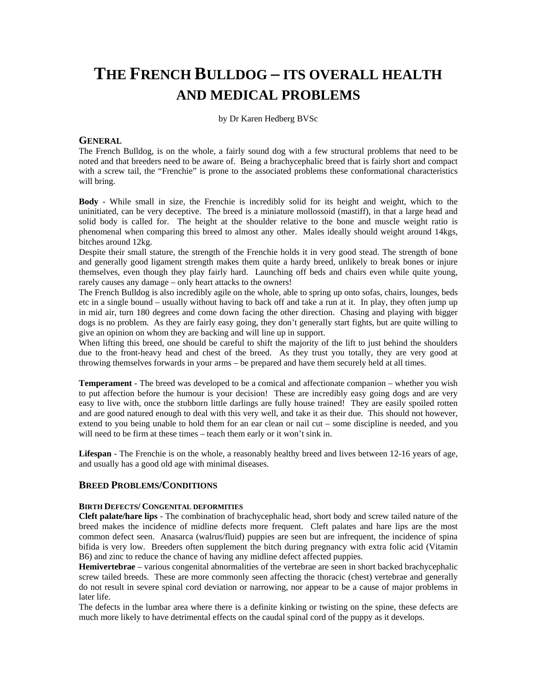# **THE FRENCH BULLDOG – ITS OVERALL HEALTH AND MEDICAL PROBLEMS**

by Dr Karen Hedberg BVSc

# **GENERAL**

The French Bulldog, is on the whole, a fairly sound dog with a few structural problems that need to be noted and that breeders need to be aware of. Being a brachycephalic breed that is fairly short and compact with a screw tail, the "Frenchie" is prone to the associated problems these conformational characteristics will bring.

**Body** - While small in size, the Frenchie is incredibly solid for its height and weight, which to the uninitiated, can be very deceptive. The breed is a miniature mollossoid (mastiff), in that a large head and solid body is called for. The height at the shoulder relative to the bone and muscle weight ratio is phenomenal when comparing this breed to almost any other. Males ideally should weight around 14kgs, bitches around 12kg.

Despite their small stature, the strength of the Frenchie holds it in very good stead. The strength of bone and generally good ligament strength makes them quite a hardy breed, unlikely to break bones or injure themselves, even though they play fairly hard. Launching off beds and chairs even while quite young, rarely causes any damage – only heart attacks to the owners!

The French Bulldog is also incredibly agile on the whole, able to spring up onto sofas, chairs, lounges, beds etc in a single bound – usually without having to back off and take a run at it. In play, they often jump up in mid air, turn 180 degrees and come down facing the other direction. Chasing and playing with bigger dogs is no problem. As they are fairly easy going, they don't generally start fights, but are quite willing to give an opinion on whom they are backing and will line up in support.

When lifting this breed, one should be careful to shift the majority of the lift to just behind the shoulders due to the front-heavy head and chest of the breed. As they trust you totally, they are very good at throwing themselves forwards in your arms – be prepared and have them securely held at all times.

**Temperament** - The breed was developed to be a comical and affectionate companion – whether you wish to put affection before the humour is your decision! These are incredibly easy going dogs and are very easy to live with, once the stubborn little darlings are fully house trained! They are easily spoiled rotten and are good natured enough to deal with this very well, and take it as their due. This should not however, extend to you being unable to hold them for an ear clean or nail cut – some discipline is needed, and you will need to be firm at these times – teach them early or it won't sink in.

**Lifespan** - The Frenchie is on the whole, a reasonably healthy breed and lives between 12-16 years of age, and usually has a good old age with minimal diseases.

# **BREED PROBLEMS/CONDITIONS**

# **BIRTH DEFECTS/ CONGENITAL DEFORMITIES**

**Cleft palate/hare lips** - The combination of brachycephalic head, short body and screw tailed nature of the breed makes the incidence of midline defects more frequent. Cleft palates and hare lips are the most common defect seen. Anasarca (walrus/fluid) puppies are seen but are infrequent, the incidence of spina bifida is very low. Breeders often supplement the bitch during pregnancy with extra folic acid (Vitamin B6) and zinc to reduce the chance of having any midline defect affected puppies.

**Hemivertebrae** – various congenital abnormalities of the vertebrae are seen in short backed brachycephalic screw tailed breeds. These are more commonly seen affecting the thoracic (chest) vertebrae and generally do not result in severe spinal cord deviation or narrowing, nor appear to be a cause of major problems in later life.

The defects in the lumbar area where there is a definite kinking or twisting on the spine, these defects are much more likely to have detrimental effects on the caudal spinal cord of the puppy as it develops.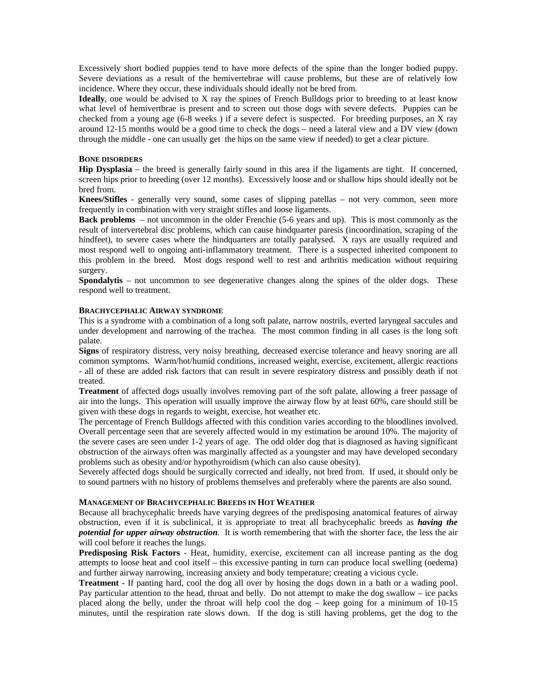Excessively short bodied puppies tend to have more defects of the spine than the longer bodied puppy. Severe deviations as a result of the hemivertebrae will cause problems, but these are of relatively low incidence. Where they occur, these individuals should ideally not be bred from.

**Ideally**, one would be advised to X ray the spines of French Bulldogs prior to breeding to at least know what level of hemivertbrae is present and to screen out those dogs with severe defects. Puppies can be checked from a young age (6-8 weeks ) if a severe defect is suspected. For breeding purposes, an X ray around 12-15 months would be a good time to check the dogs – need a lateral view and a DV view (down through the middle - one can usually get the hips on the same view if needed) to get a clear picture.

#### **BONE DISORDERS**

**Hip Dysplasia** – the breed is generally fairly sound in this area if the ligaments are tight. If concerned, screen hips prior to breeding (over 12 months). Excessively loose and or shallow hips should ideally not be bred from.

**Knees/Stifles** - generally very sound, some cases of slipping patellas – not very common, seen more frequently in combination with very straight stifles and loose ligaments.

**Back problems** – not uncommon in the older Frenchie (5-6 years and up). This is most commonly as the result of intervertebral disc problems, which can cause hindquarter paresis (incoordination, scraping of the hindfeet), to severe cases where the hindquarters are totally paralysed. X rays are usually required and most respond well to ongoing anti-inflammatory treatment. There is a suspected inherited component to this problem in the breed. Most dogs respond well to rest and arthritis medication without requiring surgery.

**Spondalytis** – not uncommon to see degenerative changes along the spines of the older dogs. These respond well to treatment.

#### **BRACHYCEPHALIC AIRWAY SYNDROME**

This is a syndrome with a combination of a long soft palate, narrow nostrils, everted laryngeal saccules and under development and narrowing of the trachea. The most common finding in all cases is the long soft palate.

**Signs** of respiratory distress, very noisy breathing, decreased exercise tolerance and heavy snoring are all common symptoms. Warm/hot/humid conditions, increased weight, exercise, excitement, allergic reactions - all of these are added risk factors that can result in severe respiratory distress and possibly death if not treated.

**Treatment** of affected dogs usually involves removing part of the soft palate, allowing a freer passage of air into the lungs. This operation will usually improve the airway flow by at least 60%, care should still be given with these dogs in regards to weight, exercise, hot weather etc.

The percentage of French Bulldogs affected with this condition varies according to the bloodlines involved. Overall percentage seen that are severely affected would in my estimation be around 10%. The majority of the severe cases are seen under 1-2 years of age. The odd older dog that is diagnosed as having significant obstruction of the airways often was marginally affected as a youngster and may have developed secondary problems such as obesity and/or hypothyroidism (which can also cause obesity).

Severely affected dogs should be surgically corrected and ideally, not bred from. If used, it should only be to sound partners with no history of problems themselves and preferably where the parents are also sound.

# **MANAGEMENT OF BRACHYCEPHALIC BREEDS IN HOT WEATHER**

Because all brachycephalic breeds have varying degrees of the predisposing anatomical features of airway obstruction, even if it is subclinical, it is appropriate to treat all brachycephalic breeds as *having the potential for upper airway obstruction*. It is worth remembering that with the shorter face, the less the air will cool before it reaches the lungs.

**Predisposing Risk Factors** - Heat, humidity, exercise, excitement can all increase panting as the dog attempts to loose heat and cool itself – this excessive panting in turn can produce local swelling (oedema) and further airway narrowing, increasing anxiety and body temperature; creating a vicious cycle.

**Treatment** - If panting hard, cool the dog all over by hosing the dogs down in a bath or a wading pool. Pay particular attention to the head, throat and belly. Do not attempt to make the dog swallow – ice packs placed along the belly, under the throat will help cool the dog – keep going for a minimum of 10-15 minutes, until the respiration rate slows down. If the dog is still having problems, get the dog to the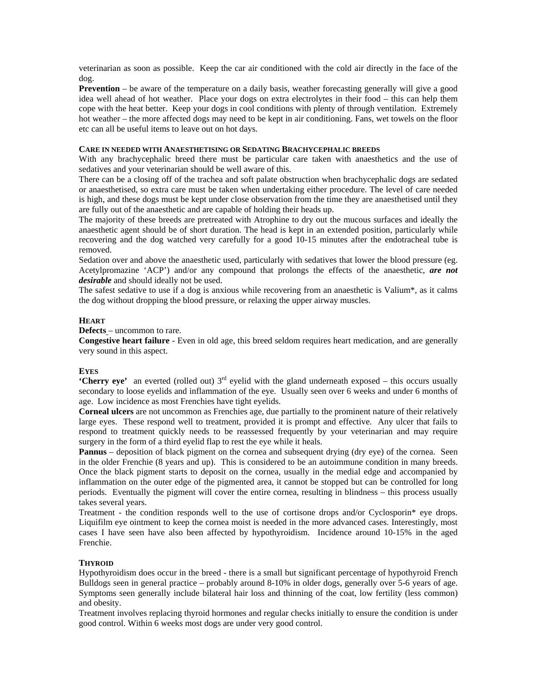veterinarian as soon as possible. Keep the car air conditioned with the cold air directly in the face of the dog.

**Prevention** – be aware of the temperature on a daily basis, weather forecasting generally will give a good idea well ahead of hot weather. Place your dogs on extra electrolytes in their food – this can help them cope with the heat better. Keep your dogs in cool conditions with plenty of through ventilation. Extremely hot weather – the more affected dogs may need to be kept in air conditioning. Fans, wet towels on the floor etc can all be useful items to leave out on hot days.

# **CARE IN NEEDED WITH ANAESTHETISING OR SEDATING BRACHYCEPHALIC BREEDS**

With any brachycephalic breed there must be particular care taken with anaesthetics and the use of sedatives and your veterinarian should be well aware of this.

There can be a closing off of the trachea and soft palate obstruction when brachycephalic dogs are sedated or anaesthetised, so extra care must be taken when undertaking either procedure. The level of care needed is high, and these dogs must be kept under close observation from the time they are anaesthetised until they are fully out of the anaesthetic and are capable of holding their heads up.

The majority of these breeds are pretreated with Atrophine to dry out the mucous surfaces and ideally the anaesthetic agent should be of short duration. The head is kept in an extended position, particularly while recovering and the dog watched very carefully for a good 10-15 minutes after the endotracheal tube is removed.

Sedation over and above the anaesthetic used, particularly with sedatives that lower the blood pressure (eg. Acetylpromazine 'ACP') and/or any compound that prolongs the effects of the anaesthetic, *are not desirable* and should ideally not be used.

The safest sedative to use if a dog is anxious while recovering from an anaesthetic is Valium\*, as it calms the dog without dropping the blood pressure, or relaxing the upper airway muscles.

# **HEART**

**Defects** – uncommon to rare.

**Congestive heart failure** - Even in old age, this breed seldom requires heart medication, and are generally very sound in this aspect.

# **EYES**

**'Cherry eye'** an everted (rolled out)  $3<sup>rd</sup>$  eyelid with the gland underneath exposed – this occurs usually secondary to loose eyelids and inflammation of the eye. Usually seen over 6 weeks and under 6 months of age. Low incidence as most Frenchies have tight eyelids.

**Corneal ulcers** are not uncommon as Frenchies age, due partially to the prominent nature of their relatively large eyes. These respond well to treatment, provided it is prompt and effective. Any ulcer that fails to respond to treatment quickly needs to be reassessed frequently by your veterinarian and may require surgery in the form of a third eyelid flap to rest the eye while it heals.

**Pannus** – deposition of black pigment on the cornea and subsequent drying (dry eye) of the cornea. Seen in the older Frenchie (8 years and up). This is considered to be an autoimmune condition in many breeds. Once the black pigment starts to deposit on the cornea, usually in the medial edge and accompanied by inflammation on the outer edge of the pigmented area, it cannot be stopped but can be controlled for long periods. Eventually the pigment will cover the entire cornea, resulting in blindness – this process usually takes several years.

Treatment - the condition responds well to the use of cortisone drops and/or Cyclosporin\* eye drops. Liquifilm eye ointment to keep the cornea moist is needed in the more advanced cases. Interestingly, most cases I have seen have also been affected by hypothyroidism. Incidence around 10-15% in the aged Frenchie.

# **THYROID**

Hypothyroidism does occur in the breed - there is a small but significant percentage of hypothyroid French Bulldogs seen in general practice – probably around 8-10% in older dogs, generally over 5-6 years of age. Symptoms seen generally include bilateral hair loss and thinning of the coat, low fertility (less common) and obesity.

Treatment involves replacing thyroid hormones and regular checks initially to ensure the condition is under good control. Within 6 weeks most dogs are under very good control.